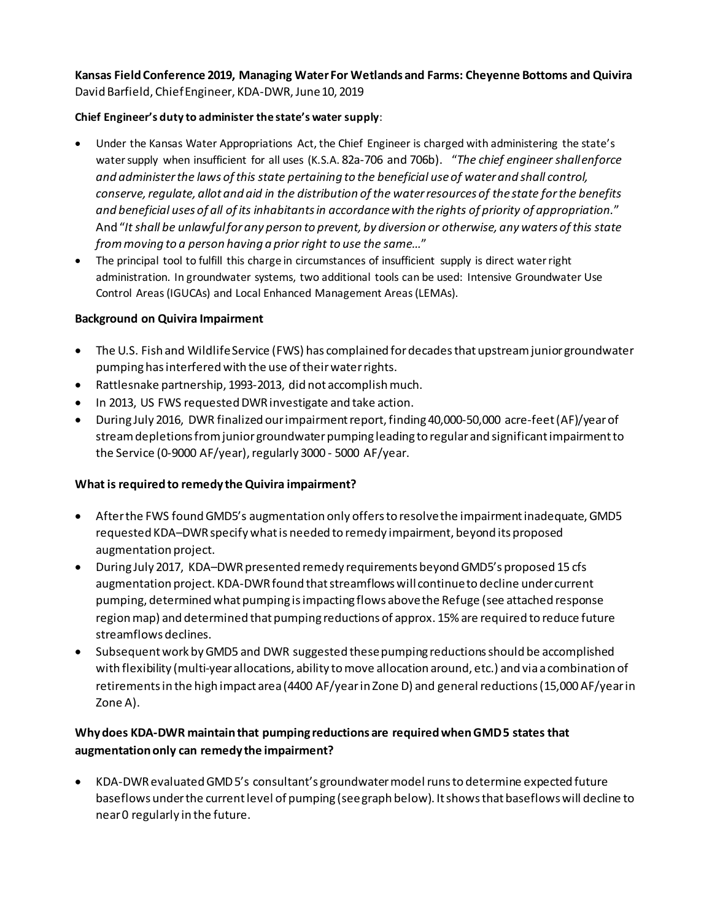# **Kansas Field Conference 2019, Managing Water For Wetlands and Farms: Cheyenne Bottoms and Quivira**  David Barfield, Chief Engineer, KDA-DWR, June 10, 2019

## **Chief Engineer's duty to administer the state's water supply**:

- Under the Kansas Water Appropriations Act, the Chief Engineer is charged with administering the state's water supply when insufficient for all uses (K.S.A. 82a-706 and 706b). "*The chief engineer shall enforce and administer the laws of this state pertaining to the beneficial use of water and shall control, conserve, regulate, allot and aid in the distribution of the water resources of the state for the benefits and beneficial uses of all of its inhabitants in accordance with the rights of priority of appropriation.*" And "*It shall be unlawful for any person to prevent, by diversion or otherwise, any waters of this state from moving to a person having a prior right to use the same…*"
- The principal tool to fulfill this charge in circumstances of insufficient supply is direct water right administration. In groundwater systems, two additional tools can be used: Intensive Groundwater Use Control Areas (IGUCAs) and Local Enhanced Management Areas (LEMAs).

### **Background on Quivira Impairment**

- The U.S. Fish and Wildlife Service (FWS) has complained for decades that upstream junior groundwater pumping has interferedwith the use of their water rights.
- Rattlesnake partnership, 1993-2013, did not accomplish much.
- In 2013, US FWS requested DWR investigate and take action.
- During July 2016, DWR finalized our impairment report, finding 40,000-50,000 acre-feet(AF)/year of stream depletions from junior groundwater pumping leading to regular and significant impairment to the Service (0-9000 AF/year), regularly 3000 - 5000 AF/year.

## **What is required to remedy the Quivira impairment?**

- After the FWS found GMD5's augmentation only offers to resolve the impairment inadequate, GMD5 requested KDA–DWR specify what is needed to remedy impairment, beyond its proposed augmentation project.
- During July 2017, KDA–DWR presented remedy requirements beyond GMD5's proposed 15 cfs augmentation project. KDA-DWR found that streamflows will continue to decline under current pumping, determined what pumping is impacting flows above the Refuge (see attached response region map) and determined that pumping reductions of approx. 15% are required to reduce future streamflows declines.
- Subsequent work by GMD5 and DWR suggested these pumping reductions should be accomplished with flexibility (multi-year allocations, ability to move allocation around, etc.) and via a combination of retirements in the high impact area (4400 AF/yearin Zone D) and general reductions (15,000 AF/yearin Zone A).

## **Why does KDA-DWR maintain that pumping reductions are required when GMD 5 states that augmentation only can remedy the impairment?**

• KDA-DWR evaluated GMD 5's consultant's groundwater model runs to determine expected future baseflows under the current level of pumping (see graph below). It shows that baseflows will decline to near 0 regularly in the future.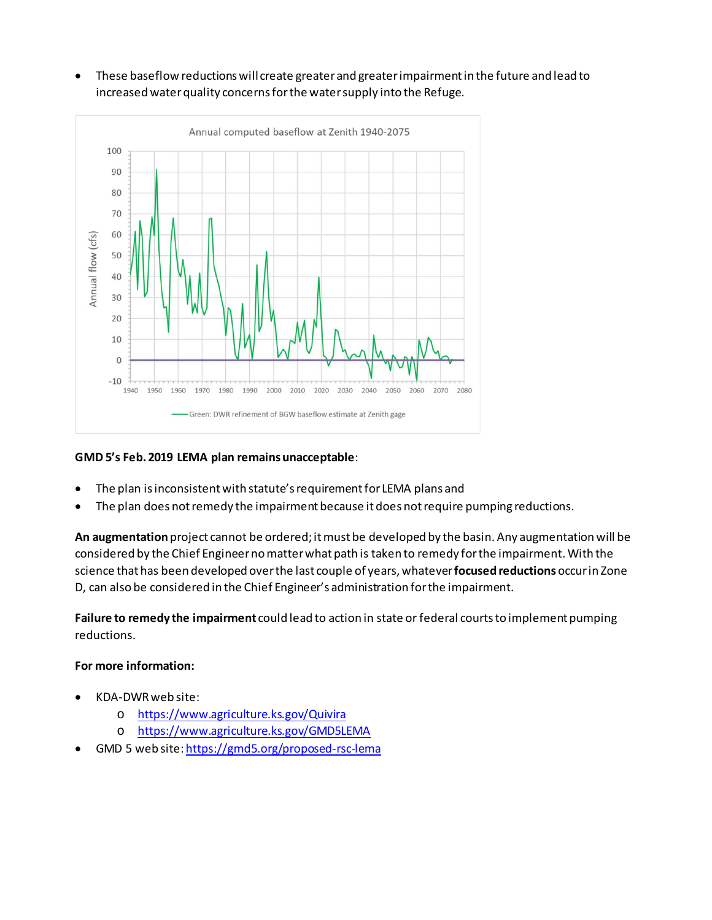• These baseflow reductions will create greater and greater impairment in the future and lead to increasedwater quality concerns for the water supply into the Refuge.



## **GMD 5's Feb. 2019 LEMA plan remainsunacceptable**:

- The plan is inconsistent with statute's requirement for LEMA plans and
- The plan does not remedy the impairment because it does not require pumping reductions.

**An augmentation**project cannot be ordered; it must be developed by the basin. Any augmentation will be considered by the Chief Engineer no matter what path is taken to remedy for the impairment. With the science that has been developed over the last couple of years, whatever **focused reductions** occur in Zone D, can also be considered in the Chief Engineer's administration for the impairment.

**Failure to remedy the impairment** could lead to action in state or federal courts to implement pumping reductions.

#### **For more information:**

- KDA-DWR web site:
	- o <https://www.agriculture.ks.gov/Quivira>
	- o <https://www.agriculture.ks.gov/GMD5LEMA>
- GMD 5 web site[: https://gmd5.org/proposed-rsc-lema](https://gmd5.org/proposed-rsc-lema)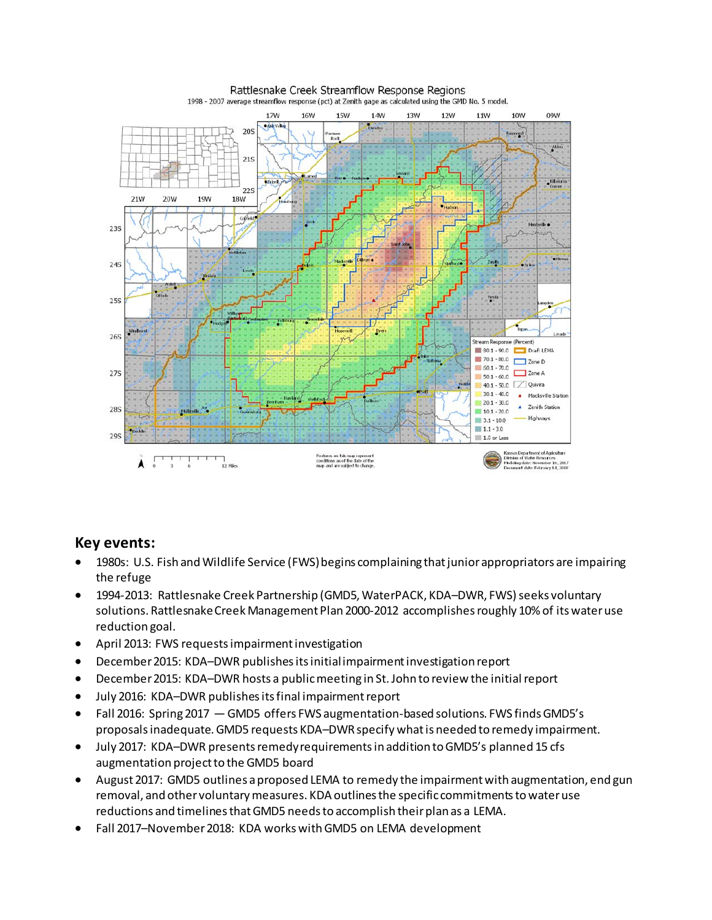

#### Rattlesnake Creek Streamflow Response Regions

• Fall 2016: Spring 2017 — GMD5 offers FWS augmentation-based solutions. FWS finds GMD5's proposals inadequate. GMD5 requests KDA–DWR specify what is needed to remedy impairment. • July 2017: KDA–DWR presents remedy requirements in addition to GMD5's planned 15 cfs augmentation project to the GMD5 board

• December 2015: KDA–DWR publishes its initial impairment investigation report

• December 2015: KDA–DWR hosts a public meeting in St. John to review the initial report

• April 2013: FWS requests impairment investigation

• July 2016: KDA–DWR publishes its final impairment report

**Key events:** 

the refuge

reduction goal.

• August 2017: GMD5 outlines a proposed LEMA to remedy the impairment with augmentation, end gun removal, and other voluntary measures. KDA outlines the specific commitments to water use reductions and timelines that GMD5 needs to accomplish their plan as a LEMA.

• 1980s: U.S. Fish and Wildlife Service (FWS) begins complaining that junior appropriators are impairing

• 1994-2013: Rattlesnake Creek Partnership (GMD5, WaterPACK, KDA–DWR, FWS) seeks voluntary solutions. Rattlesnake Creek Management Plan 2000-2012 accomplishes roughly 10% of its water use

• Fall 2017–November 2018: KDA works with GMD5 on LEMA development